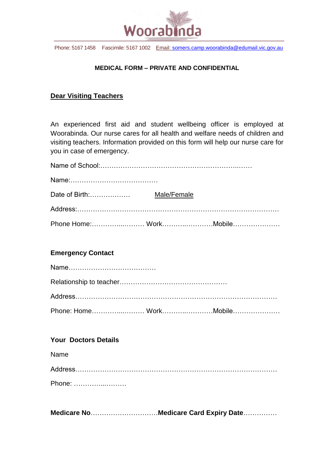

Phone: 5167 1458 Fascimile: 5167 1002 Email: [somers.camp.woorabinda@edumail.vic.gov.au](mailto:somers.camp.woorabinda@edumail.vic.gov.au)

### **MEDICAL FORM – PRIVATE AND CONFIDENTIAL**

## **Dear Visiting Teachers**

An experienced first aid and student wellbeing officer is employed at Woorabinda. Our nurse cares for all health and welfare needs of children and visiting teachers. Information provided on this form will help our nurse care for you in case of emergency.

| Phone Home: WorkMobile |  |
|------------------------|--|

## **Emergency Contact**

| Phone: Home WorkMobile |  |
|------------------------|--|

#### **Your Doctors Details**

Name

Address……………………………………………………………………………… Phone: …………...………

**Medicare No**…………………………**Medicare Card Expiry Date**……………